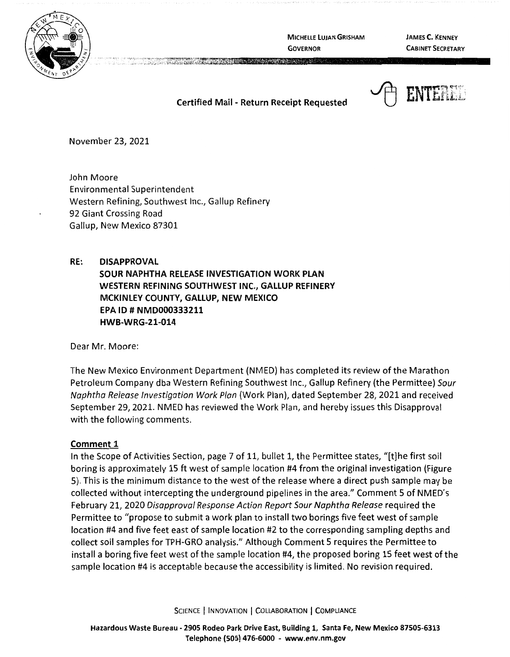

**MICHELLE LUJAN GRISHAM GOVERNOR** 

**JAMES C. KENNEY CABINET SECRETARY** 

## **Certified Mail** - **Return Receipt Requested**

The contract of the contract of the contract of the contract of the contract of the contract of the contract of



November 23, 2021

John Moore Environmental Superintendent Western Refining, Southwest Inc., Gallup Refinery 92 Giant Crossing Road Gallup, New Mexico 87301

**RE: DISAPPROVAL SOUR NAPHTHA RELEASE INVESTIGATION WORK PLAN WESTERN REFINING SOUTHWEST INC., GALLUP REFINERY MCKINLEY COUNTY, GALLUP, NEW MEXICO EPA** ID# **NMD000333211 HWB-WRG-21-014** 

Dear Mr. Moore:

The New Mexico Environment Department (NMED) has completed its review of the Marathon Petroleum Company dba Western Refining Southwest Inc., Gallup Refinery (the Permittee) Sour Naphtha Release Investigation Work Plan (Work Plan), dated September 28, 2021 and received September 29, 2021. NMED has reviewed the Work Plan, and hereby issues this Disapproval with the following comments.

#### **Comment 1**

In the Scope of Activities Section, page 7 of 11, bullet 1, the Permittee states, "[t]he first soil boring is approximately 15 ft west of sample location #4 from the original investigation (Figure 5). This is the minimum distance to the west of the release where a direct push sample may be collected without intercepting the underground pipelines in the area." Comment 5 of NMED's February 21, 2020 Disapproval Response Action Report Sour Naphtha Release required the Permittee to "propose to submit a work plan to install two borings five feet west of sample location #4 and five feet east of sample location #2 to the corresponding sampling depths and collect soil samples for TPH-GRO analysis." Although Comment 5 requires the Permittee to install a boring five feet west of the sample location #4, the proposed boring 15 feet west of the sample location #4 is acceptable because the accessibility is limited. No revision required.

SCIENCE | INNOVATION | COLLABORATION | COMPLIANCE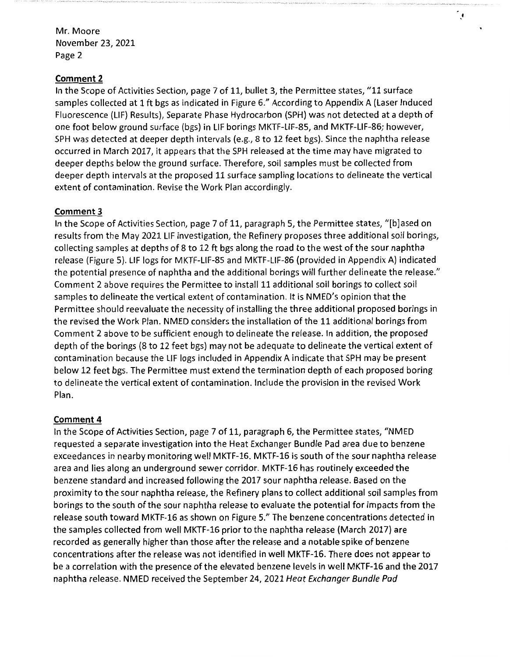#### **Comment 2**

In the Scope of Activities Section, page 7 of 11, bullet 3, the Permittee states, "11 surface samples collected at 1 ft bgs as indicated in Figure 6." According to Appendix A (Laser Induced Fluorescence (LIF} Results}, Separate Phase Hydrocarbon (SPH} was not detected at a depth of one foot below ground surface (bgs) in LIF borings MKTF-LIF-85, and MKTF-LIF-86; however, SPH was detected at deeper depth intervals (e.g., 8 to 12 feet bgs). Since the naphtha release occurred in March 2017, it appears that the SPH released at the time may have migrated to deeper depths below the ground surface. Therefore, soil samples must be collected from deeper depth intervals at the proposed 11 surface sampling locations to delineate the vertical extent of contamination. Revise the Work Plan accordingly.

 $\ddot{\phantom{0}}$ 

#### **Comment 3**

In the Scope of Activities Section, page 7 of 11, paragraph 5, the Permittee states, "[b]ased on results from the May 2021 LIF investigation, the Refinery proposes three additional soil borings, collecting samples at depths of 8 to 12 ft bgs along the road to the west of the sour naphtha release (Figure 5). LIF logs for MKTF-LIF-85 and MKTF-LIF-86 (provided in Appendix A} indicated the potential presence of naphtha and the additional borings will further delineate the release." Comment 2 above requires the Permittee to install 11 additional soil borings to collect soil samples to delineate the vertical extent of contamination. It is NMED's opinion that the Permittee should reevaluate the necessity of installing the three additional proposed borings in the revised the Work Plan. NMED considers the installation of the 11 additional borings from Comment 2 above to be sufficient enough to delineate the release. In addition, the proposed depth of the borings (8 to 12 feet bgs) may not be adequate to delineate the vertical extent of contamination because the LIF logs included in Appendix A indicate that SPH may be present below 12 feet bgs. The Permittee must extend the termination depth of each proposed boring to delineate the vertical extent of contamination. Include the provision in the revised Work Plan.

#### **Comment 4**

In the Scope of Activities Section, page 7 of 11, paragraph 6, the Permittee states, "NMED requested a separate investigation into the Heat Exchanger Bundle Pad area due to benzene exceedances in nearby monitoring well MKTF-16. MKTF-16 is south of the sour naphtha release area and lies along an underground sewer corridor. MKTF-16 has routinely exceeded the benzene standard and increased following the 2017 sour naphtha release. Based on the proximity to the sour naphtha release, the Refinery plans to collect additional soil samples from borings to the south of the sour naphtha release to evaluate the potential for impacts from the release south toward MKTF-16 as shown on Figure 5." The benzene concentrations detected in the samples collected from well MKTF-16 prior to the naphtha release (March 2017) are recorded as generally higher than those after the release and a notable spike of benzene concentrations after the release was not identified in well MKTF-16. There does not appear to be a correlation with the presence of the elevated benzene levels in well MKTF-16 and the 2017 naphtha release. NMED received the September 24, 2021 Heat Exchanger Bundle Pad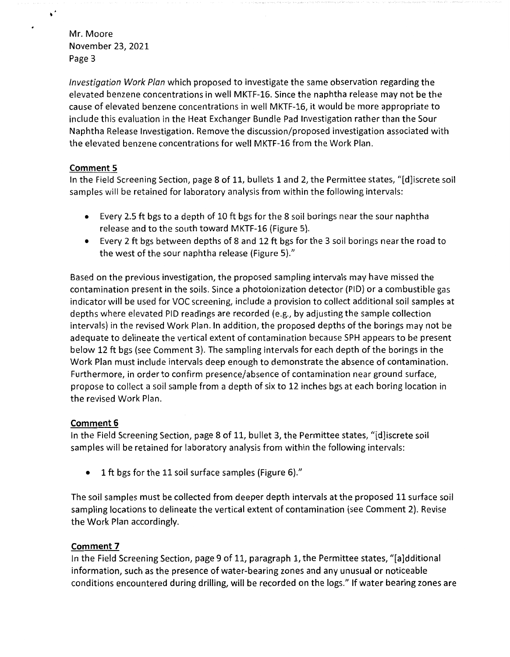$\ddot{\phantom{1}}$ 

 $\bullet$ 

Investigation Work Plan which proposed to investigate the same observation regarding the elevated benzene concentrations in well MKTF-16. Since the naphtha release may not be the cause of elevated benzene concentrations in well MKTF-16, it would be more appropriate to include this evaluation in the Heat Exchanger Bundle Pad Investigation rather than the Sour Naphtha Release Investigation. Remove the discussion/proposed investigation associated with the elevated benzene concentrations for well MKTF-16 from the Work Plan.

#### **Comment 5**

In the Field Screening Section, page 8 of 11, bullets 1 and 2, the Permittee states, "[d]iscrete soil samples will be retained for laboratory analysis from within the following intervals:

- Every 2.5 ft bgs to a depth of 10 ft bgs for the 8 soil borings near the sour naphtha release and to the south toward MKTF-16 (Figure 5).
- Every 2 ft bgs between depths of 8 and 12 ft bgs for the 3 soil borings near the road to the west of the sour naphtha release (Figure 5)."

Based on the previous investigation, the proposed sampling intervals may have missed the contamination present in the soils. Since a photoionization detector (PID) or a combustible gas indicator will be used for VOC screening, include a provision to collect additional soil samples at depths where elevated PID readings are recorded (e.g., by adjusting the sample collection intervals) in the revised Work Plan. In addition, the proposed depths of the borings may not be adequate to delineate the vertical extent of contamination because SPH appears to be present below 12 ft bgs (see Comment 3). The sampling intervals for each depth of the borings in the Work Plan must include intervals deep enough to demonstrate the absence of contamination. Furthermore, in order to confirm presence/absence of contamination near ground surface, propose to collect a soil sample from a depth of six to 12 inches bgs at each boring location in the revised Work Plan.

## **Comment 6**

In the Field Screening Section, page 8 of 11, bullet 3, the Permittee states, "[d]iscrete soil samples will be retained for laboratory analysis from within the following intervals:

• 1 ft bgs for the 11 soil surface samples (Figure 6)."

The soil samples must be collected from deeper depth intervals at the proposed 11 surface soil sampling locations to delineate the vertical extent of contamination (see Comment 2). Revise the Work Plan accordingly.

## **Comment 7**

In the Field Screening Section, page 9 of 11, paragraph 1, the Permittee states, "[a]dditional information, such as the presence of water-bearing zones and any unusual or noticeable conditions encountered during drilling, will be recorded on the logs." If water bearing zones are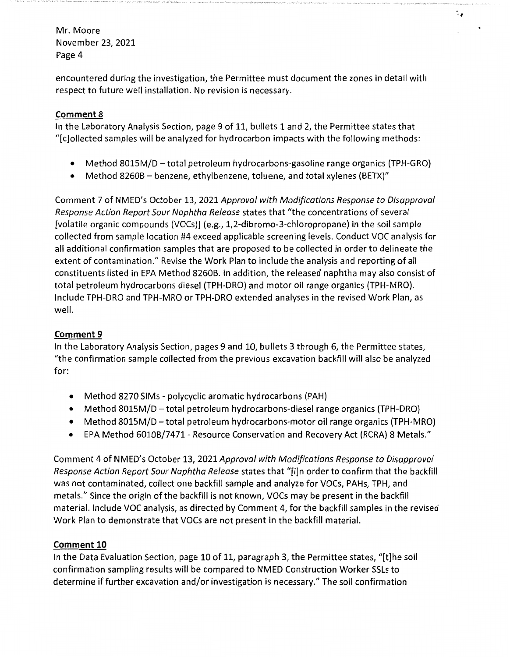encountered during the investigation, the Permittee must document the zones in detail with respect to future well installation. No revision is necessary.

ैं.

# **Comment 8**

In the Laboratory Analysis Section, page 9 of 11, bullets 1 and 2, the Permittee states that "[c]ollected samples will be analyzed for hydrocarbon impacts with the following methods:

- Method 8015M/D total petroleum hydrocarbons-gasoline range organics (TPH-GRO)
- Method 8260B benzene, ethylbenzene, toluene, and total xylenes (BETX)"

Comment 7 of NMED's October 13, 2021 Approval with Modifications Response to Disapproval Response Action Report Sour Naphtha Release states that "the concentrations of several [volatile organic compounds (VOCs)] (e.g., 1,2-dibromo-3-chloropropane) in the soil sample collected from sample location #4 exceed applicable screening levels. Conduct VOC analysis for all additional confirmation samples that are proposed to be collected in order to delineate the extent of contamination." Revise the Work Plan to include the analysis and reporting of all constituents listed in EPA Method 8260B. In addition, the released naphtha may also consist of total petroleum hydrocarbons diesel (TPH-DRO) and motor oil range organics (TPH-MRO). Include TPH-DRO and TPH-MRO or TPH-DRO extended analyses in the revised Work Plan, as well.

# **Comment 9**

In the Laboratory Analysis Section, pages 9 and 10, bullets 3 through 6, the Permittee states, "the confirmation sample collected from the previous excavation backfill will also be analyzed for:

- Method 8270 SIMs polycyclic aromatic hydrocarbons (PAH)
- Method 8015M/D -total petroleum hydrocarbons-diesel range organics (TPH-DRO)
- Method 8015M/D total petroleum hydrocarbons-motor oil range organics (TPH-MRO)
- EPA Method 6010B/7471- Resource Conservation and Recovery Act (RCRA) 8 Metals."

Comment 4 of NMED's October 13, 2021 Approval with Modifications Response to Disapproval Response Action Report Sour Naphtha Release states that "[i]n order to confirm that the backfill was not contaminated, collect one backfill sample and analyze for VOCs, PAHs, TPH, and metals." Since the origin of the backfill is not known, VOCs may be present in the backfill material. Include VOC analysis, as directed by Comment 4, for the backfill samples in the revised Work Plan to demonstrate that VOCs are not present in the backfill material.

## **Comment 10**

In the Data Evaluation Section, page 10 of 11, paragraph 3, the Permittee states, "[t]he soil confirmation sampling results will be compared to NMED Construction Worker SSLs to determine iffurther excavation and/or investigation is necessary." The soil confirmation